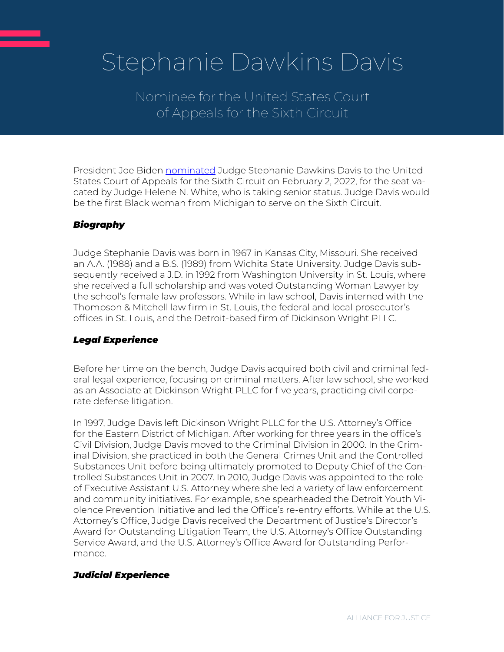# Stephanie Dawkins Davis

Nominee for the United States Court of Appeals for the Sixth Circuit

President Joe Biden [nominated](https://www.whitehouse.gov/briefing-room/statements-releases/2022/02/02/press-release-nominations-sent-to-the-senate-3/) Judge Stephanie Dawkins Davis to the United States Court of Appeals for the Sixth Circuit on February 2, 2022, for the seat vacated by Judge Helene N. White, who is taking senior status. Judge Davis would be the first Black woman from Michigan to serve on the Sixth Circuit.

# *Biography*

Judge Stephanie Davis was born in 1967 in Kansas City, Missouri. She received an A.A. (1988) and a B.S. (1989) from Wichita State University. Judge Davis subsequently received a J.D. in 1992 from Washington University in St. Louis, where she received a full scholarship and was voted Outstanding Woman Lawyer by the school's female law professors. While in law school, Davis interned with the Thompson & Mitchell law firm in St. Louis, the federal and local prosecutor's offices in St. Louis, and the Detroit-based firm of Dickinson Wright PLLC.

## *Legal Experience*

Before her time on the bench, Judge Davis acquired both civil and criminal federal legal experience, focusing on criminal matters. After law school, she worked as an Associate at Dickinson Wright PLLC for five years, practicing civil corporate defense litigation.

In 1997, Judge Davis left Dickinson Wright PLLC for the U.S. Attorney's Office for the Eastern District of Michigan. After working for three years in the office's Civil Division, Judge Davis moved to the Criminal Division in 2000. In the Criminal Division, she practiced in both the General Crimes Unit and the Controlled Substances Unit before being ultimately promoted to Deputy Chief of the Controlled Substances Unit in 2007. In 2010, Judge Davis was appointed to the role of Executive Assistant U.S. Attorney where she led a variety of law enforcement and community initiatives. For example, she spearheaded the Detroit Youth Violence Prevention Initiative and led the Office's re-entry efforts. While at the U.S. Attorney's Office, Judge Davis received the Department of Justice's Director's Award for Outstanding Litigation Team, the U.S. Attorney's Office Outstanding Service Award, and the U.S. Attorney's Office Award for Outstanding Performance.

## *Judicial Experience*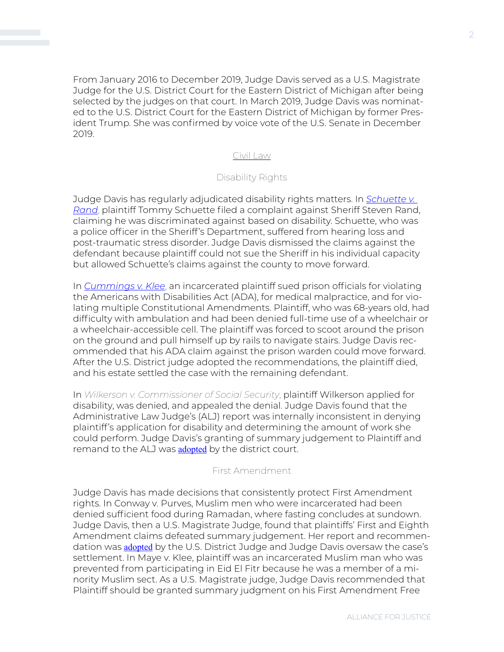From January 2016 to December 2019, Judge Davis served as a U.S. Magistrate Judge for the U.S. District Court for the Eastern District of Michigan after being selected by the judges on that court. In March 2019, Judge Davis was nominated to the U.S. District Court for the Eastern District of Michigan by former President Trump. She was confirmed by voice vote of the U.S. Senate in December 2019.

### Civil Law

#### Disability Rights

Judge Davis has regularly adjudicated disability rights matters. In *[Schuette v.](https://casetext.com/case/schuette-v-rand)  [Rand](https://casetext.com/case/schuette-v-rand)*, plaintiff Tommy Schuette filed a complaint against Sheriff Steven Rand, claiming he was discriminated against based on disability. Schuette, who was a police officer in the Sheriff's Department, suffered from hearing loss and post-traumatic stress disorder. Judge Davis dismissed the claims against the defendant because plaintiff could not sue the Sheriff in his individual capacity but allowed Schuette's claims against the county to move forward.

In *[Cummings v. Klee](https://casetext.com/case/cummings-v-klee-2)*, an incarcerated plaintiff sued prison officials for violating the Americans with Disabilities Act (ADA), for medical malpractice, and for violating multiple Constitutional Amendments. Plaintiff, who was 68-years old, had difficulty with ambulation and had been denied full-time use of a wheelchair or a wheelchair-accessible cell. The plaintiff was forced to scoot around the prison on the ground and pull himself up by rails to navigate stairs. Judge Davis recommended that his ADA claim against the prison warden could move forward. After the U.S. District judge adopted the recommendations, the plaintiff died, and his estate settled the case with the remaining defendant.

In *Wilkerson v. Commissioner of Social Security*, plaintiff Wilkerson applied for disability, was denied, and appealed the denial. Judge Davis found that the Administrative Law Judge's (ALJ) report was internally inconsistent in denying plaintiff's application for disability and determining the amount of work she could perform. Judge Davis's granting of summary judgement to Plaintiff and remand to the ALJ was **[adopted](https://casetext.com/case/wilkerson-v-commr-of-soc-sec-4)** by the district court.

#### First Amendment

Judge Davis has made decisions that consistently protect First Amendment rights. In Conway v. Purves, Muslim men who were incarcerated had been denied sufficient food during Ramadan, where fasting concludes at sundown. Judge Davis, then a U.S. Magistrate Judge, found that plaintiffs' First and Eighth Amendment claims defeated summary judgement. Her report and recommendation was [adopted](https://casetext.com/case/conway-v-purves-5) by the U.S. District Judge and Judge Davis oversaw the case's settlement. In Maye v. Klee, plaintiff was an incarcerated Muslim man who was prevented from participating in Eid El Fitr because he was a member of a minority Muslim sect. As a U.S. Magistrate judge, Judge Davis recommended that Plaintiff should be granted summary judgment on his First Amendment Free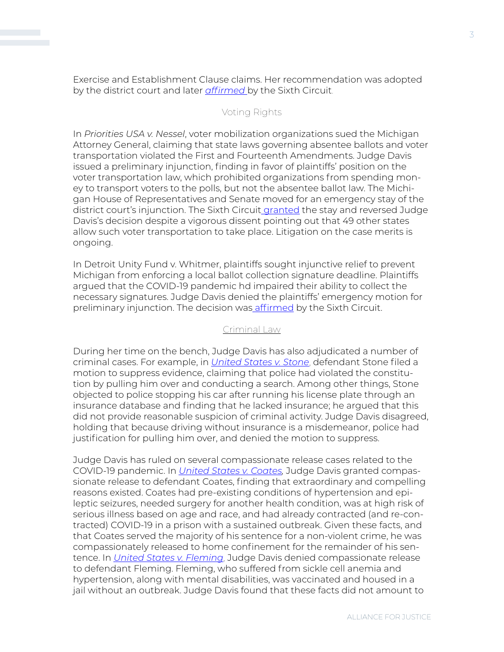Exercise and Establishment Clause claims. Her recommendation was adopted by the district court and later *[affirmed](https://casetext.com/case/maye-v-klee-3)* by the Sixth Circuit.

#### Voting Rights

In *Priorities USA v. Nessel*, voter mobilization organizations [sued](https://casetext.com/case/priorities-usa-v-nessel-3) the Michigan Attorney General, claiming that state laws governing absentee ballots and voter transportation violated the First and Fourteenth Amendments. Judge Davis issued a preliminary injunction, finding in favor of plaintiffs' position on the voter transportation law, which prohibited organizations from spending money to transport voters to the polls, but not the absentee ballot law. The Michigan House of Representatives and Senate moved for an emergency stay of the district court's injunction. The Sixth Circuit [granted](https://law.justia.com/cases/federal/appellate-courts/ca6/20-1931/20-1931-2020-10-21.html) the stay and reversed Judge Davis's decision despite a vigorous [dissent](https://law.justia.com/cases/federal/appellate-courts/ca6/20-1931/20-1931-2020-10-21.html) pointing out that 49 other states allow such voter transportation to take place. Litigation on the case merits is ongoing.

In Detroit Unity Fund v. Whitmer, plaintiffs sought injunctive relief to prevent Michigan from enforcing a local ballot collection signature deadline. Plaintiffs argued that the COVID-19 pandemic hd impaired their ability to collect the necessary signatures. Judge Davis denied the plaintiffs' emergency motion for preliminary injunction. The decision was [affirmed](https://casetext.com/case/detroit-unity-fund-v-whitmer) by the Sixth Circuit.

#### Criminal Law

During her time on the bench, Judge Davis has also adjudicated a number of criminal cases. For example, in *[United States v. Stone](https://casetext.com/case/united-states-v-stone-225)*, defendant Stone filed a motion to suppress evidence, claiming that police had violated the constitution by pulling him over and conducting a search. Among other things, Stone objected to police stopping his car after running his license plate through an insurance database and finding that he lacked insurance; he argued that this did not provide reasonable suspicion of criminal activity. Judge Davis disagreed, holding that because driving without insurance is a misdemeanor, police had justification for pulling him over, and denied the motion to suppress.

Judge Davis has ruled on several compassionate release cases related to the COVID-19 pandemic. In *[United States v. Coates,](https://casetext.com/case/united-states-v-coates-30)* Judge Davis granted compassionate release to defendant Coates, finding that extraordinary and compelling reasons existed. Coates had pre-existing conditions of hypertension and epileptic seizures, needed surgery for another health condition, was at high risk of serious illness based on age and race, and had already contracted (and re-contracted) COVID-19 in a prison with a sustained outbreak. Given these facts, and that Coates served the majority of his sentence for a non-violent crime, he was compassionately released to home confinement for the remainder of his sentence. In *[United States v. Fleming](https://casetext.com/case/united-states-v-fleming-122)*, Judge Davis denied compassionate release to defendant Fleming. Fleming, who suffered from sickle cell anemia and hypertension, along with mental disabilities, was vaccinated and housed in a jail without an outbreak. Judge Davis found that these facts did not amount to